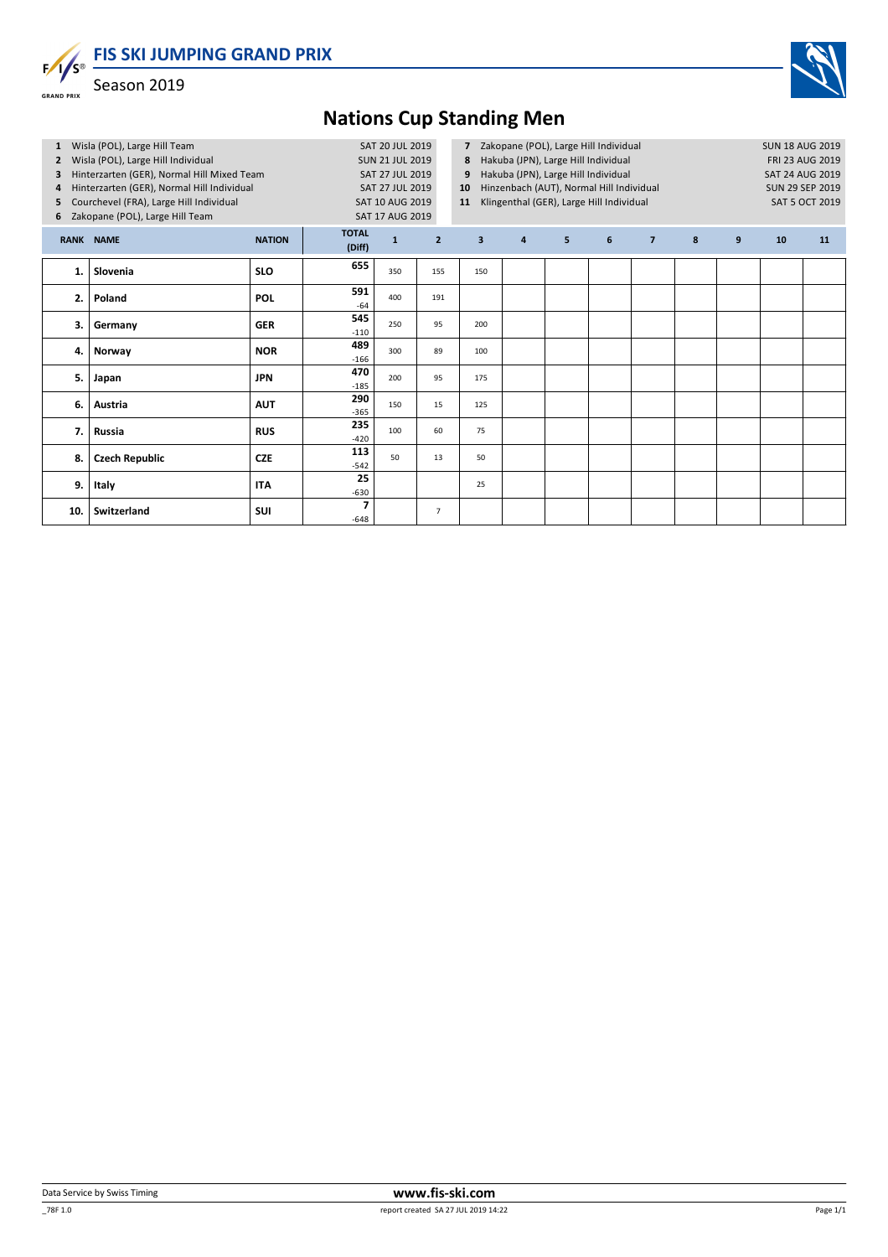**FIS SKI JUMPING GRAND PRIX**  $F/I/S^{\circ}$ 



Season 2019

**GRAND PRIX** 

## **Nations Cup Standing Men**

| Wisla (POL), Large Hill Team<br>$\mathbf{1}$<br>Wisla (POL), Large Hill Individual<br>$\mathbf{z}$<br>Hinterzarten (GER), Normal Hill Mixed Team<br>3<br>Hinterzarten (GER), Normal Hill Individual<br>4<br>Courchevel (FRA), Large Hill Individual<br>5<br>Zakopane (POL), Large Hill Team<br>6 |                       |               | <b>SUN 21 JUL 2019</b><br>SAT 10 AUG 2019<br><b>SAT 17 AUG 2019</b> | SAT 20 JUL 2019<br>SAT 27 JUL 2019<br>SAT 27 JUL 2019 | Zakopane (POL), Large Hill Individual<br>$\overline{7}$<br>Hakuba (JPN), Large Hill Individual<br>8<br>Hakuba (JPN), Large Hill Individual<br>9<br>Hinzenbach (AUT), Normal Hill Individual<br>10<br>Klingenthal (GER), Large Hill Individual<br>11 |                         |                |                |   |                |   | <b>SUN 18 AUG 2019</b><br><b>FRI 23 AUG 2019</b><br><b>SAT 24 AUG 2019</b><br>SUN 29 SEP 2019<br><b>SAT 5 OCT 2019</b> |    |    |
|--------------------------------------------------------------------------------------------------------------------------------------------------------------------------------------------------------------------------------------------------------------------------------------------------|-----------------------|---------------|---------------------------------------------------------------------|-------------------------------------------------------|-----------------------------------------------------------------------------------------------------------------------------------------------------------------------------------------------------------------------------------------------------|-------------------------|----------------|----------------|---|----------------|---|------------------------------------------------------------------------------------------------------------------------|----|----|
|                                                                                                                                                                                                                                                                                                  | <b>RANK NAME</b>      | <b>NATION</b> | <b>TOTAL</b><br>(Diff)                                              | $\mathbf{1}$                                          | $\overline{2}$                                                                                                                                                                                                                                      | $\overline{\mathbf{3}}$ | $\overline{a}$ | 5 <sup>1</sup> | 6 | $\overline{7}$ | 8 | 9                                                                                                                      | 10 | 11 |
| 1.                                                                                                                                                                                                                                                                                               | Slovenia              | <b>SLO</b>    | 655                                                                 | 350                                                   | 155                                                                                                                                                                                                                                                 | 150                     |                |                |   |                |   |                                                                                                                        |    |    |
| 2.                                                                                                                                                                                                                                                                                               | Poland                | <b>POL</b>    | 591<br>$-64$                                                        | 400                                                   | 191                                                                                                                                                                                                                                                 |                         |                |                |   |                |   |                                                                                                                        |    |    |
| 3.                                                                                                                                                                                                                                                                                               | Germany               | <b>GER</b>    | 545<br>$-110$                                                       | 250                                                   | 95                                                                                                                                                                                                                                                  | 200                     |                |                |   |                |   |                                                                                                                        |    |    |
| 4.                                                                                                                                                                                                                                                                                               | Norway                | <b>NOR</b>    | 489<br>$-166$                                                       | 300                                                   | 89                                                                                                                                                                                                                                                  | 100                     |                |                |   |                |   |                                                                                                                        |    |    |
| 5.                                                                                                                                                                                                                                                                                               | Japan                 | <b>JPN</b>    | 470<br>$-185$                                                       | 200                                                   | 95                                                                                                                                                                                                                                                  | 175                     |                |                |   |                |   |                                                                                                                        |    |    |
| 6.                                                                                                                                                                                                                                                                                               | Austria               | <b>AUT</b>    | 290<br>$-365$                                                       | 150                                                   | 15                                                                                                                                                                                                                                                  | 125                     |                |                |   |                |   |                                                                                                                        |    |    |
| 7.                                                                                                                                                                                                                                                                                               | Russia                | <b>RUS</b>    | 235<br>$-420$                                                       | 100                                                   | 60                                                                                                                                                                                                                                                  | 75                      |                |                |   |                |   |                                                                                                                        |    |    |
| 8.                                                                                                                                                                                                                                                                                               | <b>Czech Republic</b> | <b>CZE</b>    | 113<br>$-542$                                                       | 50                                                    | 13                                                                                                                                                                                                                                                  | 50                      |                |                |   |                |   |                                                                                                                        |    |    |
| 9.                                                                                                                                                                                                                                                                                               | Italy                 | <b>ITA</b>    | 25<br>$-630$                                                        |                                                       |                                                                                                                                                                                                                                                     | 25                      |                |                |   |                |   |                                                                                                                        |    |    |
| 10.                                                                                                                                                                                                                                                                                              | Switzerland           | SUI           | $\overline{\phantom{a}}$<br>$-648$                                  |                                                       | $\overline{7}$                                                                                                                                                                                                                                      |                         |                |                |   |                |   |                                                                                                                        |    |    |